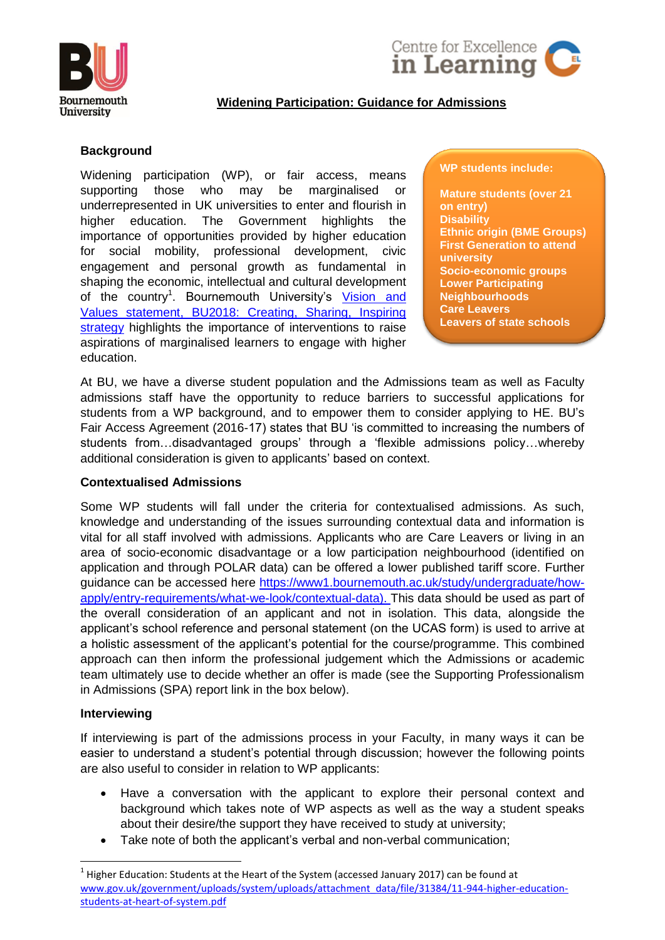



# **Widening Participation: Guidance for Admissions**

## **Background**

Widening participation (WP), or fair access, means supporting those who may be marginalised or underrepresented in UK universities to enter and flourish in higher education. The Government highlights the importance of opportunities provided by higher education for social mobility, professional development, civic engagement and personal growth as fundamental in shaping the economic, intellectual and cultural development of the country<sup>1</sup>. Bournemouth University's Vision and [Values statement, BU2018: Creating, Sharing, Inspiring](https://www1.bournemouth.ac.uk/about/vision-values)  [strategy](https://www1.bournemouth.ac.uk/about/vision-values) highlights the importance of interventions to raise aspirations of marginalised learners to engage with higher education.

#### **WP students include:**

**Mature students (over 21 on entry) Disability Ethnic origin (BME Groups) First Generation to attend university Socio-economic groups Lower Participating Neighbourhoods Care Leavers Leavers of state schools**

At BU, we have a diverse student population and the Admissions team as well as Faculty admissions staff have the opportunity to reduce barriers to successful applications for students from a WP background, and to empower them to consider applying to HE. BU's Fair Access Agreement (2016-17) states that BU 'is committed to increasing the numbers of students from…disadvantaged groups' through a 'flexible admissions policy…whereby additional consideration is given to applicants' based on context.

### **Contextualised Admissions**

Some WP students will fall under the criteria for contextualised admissions. As such, knowledge and understanding of the issues surrounding contextual data and information is vital for all staff involved with admissions. Applicants who are Care Leavers or living in an area of socio-economic disadvantage or a low participation neighbourhood (identified on application and through POLAR data) can be offered a lower published tariff score. Further guidance can be accessed here [https://www1.bournemouth.ac.uk/study/undergraduate/how](https://www1.bournemouth.ac.uk/study/undergraduate/how-apply/entry-requirements/what-we-look/contextual-data)[apply/entry-requirements/what-we-look/contextual-data\)](https://www1.bournemouth.ac.uk/study/undergraduate/how-apply/entry-requirements/what-we-look/contextual-data). This data should be used as part of the overall consideration of an applicant and not in isolation. This data, alongside the applicant's school reference and personal statement (on the UCAS form) is used to arrive at a holistic assessment of the applicant's potential for the course/programme. This combined approach can then inform the professional judgement which the Admissions or academic team ultimately use to decide whether an offer is made (see the Supporting Professionalism in Admissions (SPA) report link in the box below).

### **Interviewing**

1

If interviewing is part of the admissions process in your Faculty, in many ways it can be easier to understand a student's potential through discussion; however the following points are also useful to consider in relation to WP applicants:

- Have a conversation with the applicant to explore their personal context and background which takes note of WP aspects as well as the way a student speaks about their desire/the support they have received to study at university;
- Take note of both the applicant's verbal and non-verbal communication;

 $^1$  Higher Education: Students at the Heart of the System (accessed January 2017) can be found at [www.gov.uk/government/uploads/system/uploads/attachment\\_data/file/31384/11-944-higher-education](http://www.gov.uk/government/uploads/system/uploads/attachment_data/file/31384/11-944-higher-education-students-at-heart-of-system.pdf)[students-at-heart-of-system.pdf](http://www.gov.uk/government/uploads/system/uploads/attachment_data/file/31384/11-944-higher-education-students-at-heart-of-system.pdf)